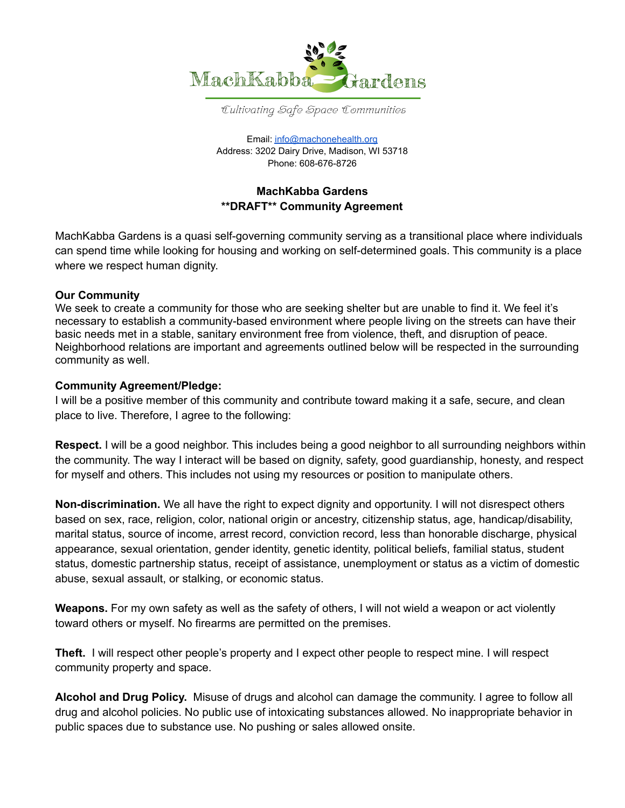

Cultivating Safe Space Communities

Email: [info@machonehealth.org](mailto:info@machonehealth.org) Address: 3202 Dairy Drive, Madison, WI 53718 Phone: 608-676-8726

## **MachKabba Gardens \*\*DRAFT\*\* Community Agreement**

MachKabba Gardens is a quasi self-governing community serving as a transitional place where individuals can spend time while looking for housing and working on self-determined goals. This community is a place where we respect human dignity.

## **Our Community**

We seek to create a community for those who are seeking shelter but are unable to find it. We feel it's necessary to establish a community-based environment where people living on the streets can have their basic needs met in a stable, sanitary environment free from violence, theft, and disruption of peace. Neighborhood relations are important and agreements outlined below will be respected in the surrounding community as well.

## **Community Agreement/Pledge:**

I will be a positive member of this community and contribute toward making it a safe, secure, and clean place to live. Therefore, I agree to the following:

**Respect.** I will be a good neighbor. This includes being a good neighbor to all surrounding neighbors within the community. The way I interact will be based on dignity, safety, good guardianship, honesty, and respect for myself and others. This includes not using my resources or position to manipulate others.

**Non-discrimination.** We all have the right to expect dignity and opportunity. I will not disrespect others based on sex, race, religion, color, national origin or ancestry, citizenship status, age, handicap/disability, marital status, source of income, arrest record, conviction record, less than honorable discharge, physical appearance, sexual orientation, gender identity, genetic identity, political beliefs, familial status, student status, domestic partnership status, receipt of assistance, unemployment or status as a victim of domestic abuse, sexual assault, or stalking, or economic status.

**Weapons.** For my own safety as well as the safety of others, I will not wield a weapon or act violently toward others or myself. No firearms are permitted on the premises.

**Theft.** I will respect other people's property and I expect other people to respect mine. I will respect community property and space.

**Alcohol and Drug Policy.** Misuse of drugs and alcohol can damage the community. I agree to follow all drug and alcohol policies. No public use of intoxicating substances allowed. No inappropriate behavior in public spaces due to substance use. No pushing or sales allowed onsite.